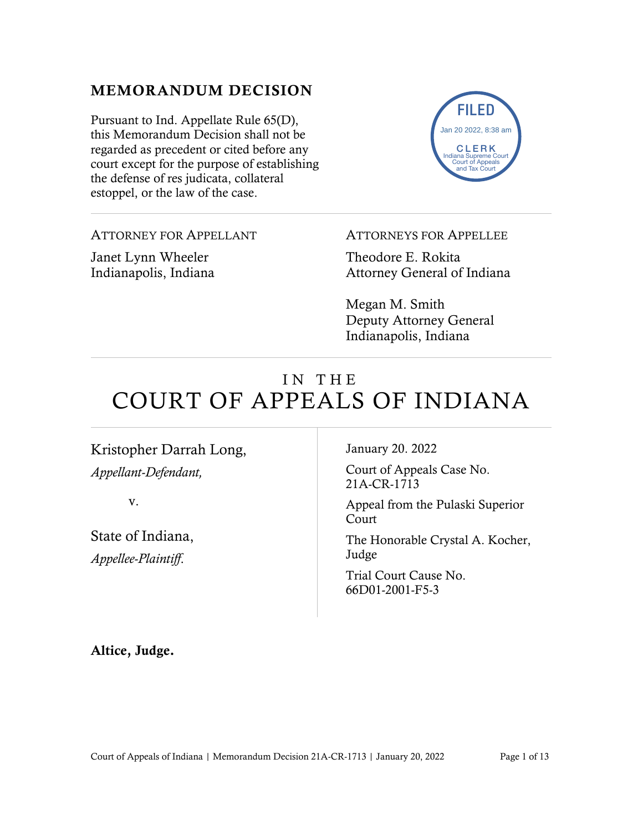## MEMORANDUM DECISION

Pursuant to Ind. Appellate Rule 65(D), this Memorandum Decision shall not be regarded as precedent or cited before any court except for the purpose of establishing the defense of res judicata, collateral estoppel, or the law of the case.

FILED CLERK Indiana Supreme Court Court of Appeals and Tax Court Jan 20 2022, 8:38 am

ATTORNEY FOR APPELLANT

Janet Lynn Wheeler Indianapolis, Indiana ATTORNEYS FOR APPELLEE

Theodore E. Rokita Attorney General of Indiana

Megan M. Smith Deputy Attorney General Indianapolis, Indiana

# IN THE COURT OF APPEALS OF INDIANA

Kristopher Darrah Long, *Appellant-Defendant,*

v.

State of Indiana, *Appellee-Plaintiff*.

January 20. 2022

Court of Appeals Case No. 21A-CR-1713

Appeal from the Pulaski Superior Court

The Honorable Crystal A. Kocher, Judge

Trial Court Cause No. 66D01-2001-F5-3

Altice, Judge.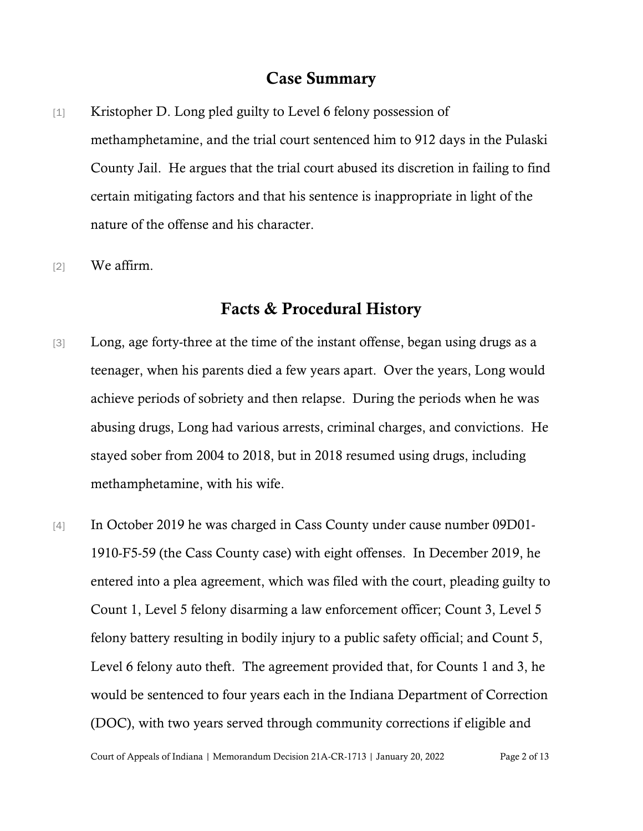#### Case Summary

- [1] Kristopher D. Long pled guilty to Level 6 felony possession of methamphetamine, and the trial court sentenced him to 912 days in the Pulaski County Jail. He argues that the trial court abused its discretion in failing to find certain mitigating factors and that his sentence is inappropriate in light of the nature of the offense and his character.
- [2] We affirm.

## Facts & Procedural History

- [3] Long, age forty-three at the time of the instant offense, began using drugs as a teenager, when his parents died a few years apart. Over the years, Long would achieve periods of sobriety and then relapse. During the periods when he was abusing drugs, Long had various arrests, criminal charges, and convictions. He stayed sober from 2004 to 2018, but in 2018 resumed using drugs, including methamphetamine, with his wife.
- [4] In October 2019 he was charged in Cass County under cause number 09D01- 1910-F5-59 (the Cass County case) with eight offenses. In December 2019, he entered into a plea agreement, which was filed with the court, pleading guilty to Count 1, Level 5 felony disarming a law enforcement officer; Count 3, Level 5 felony battery resulting in bodily injury to a public safety official; and Count 5, Level 6 felony auto theft. The agreement provided that, for Counts 1 and 3, he would be sentenced to four years each in the Indiana Department of Correction (DOC), with two years served through community corrections if eligible and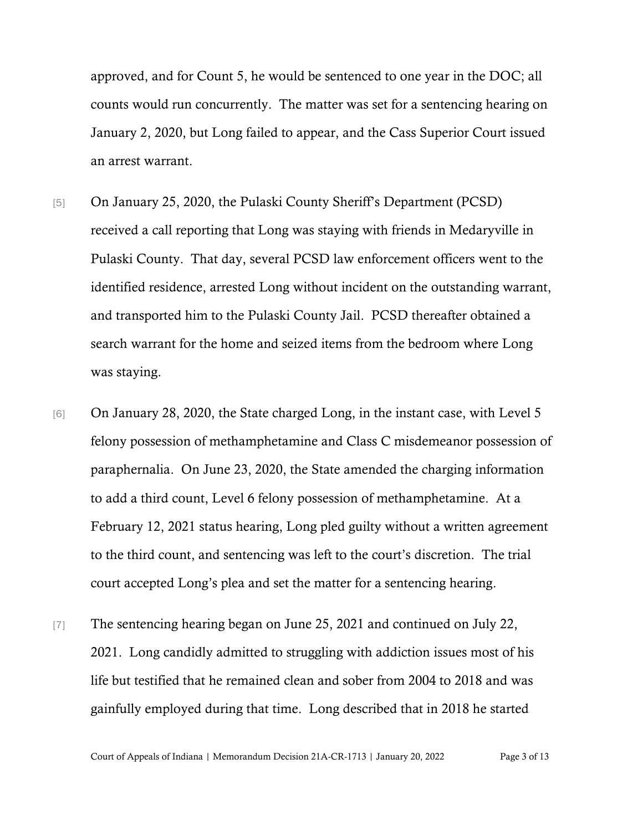approved, and for Count 5, he would be sentenced to one year in the DOC; all counts would run concurrently. The matter was set for a sentencing hearing on January 2, 2020, but Long failed to appear, and the Cass Superior Court issued an arrest warrant.

- [5] On January 25, 2020, the Pulaski County Sheriff's Department (PCSD) received a call reporting that Long was staying with friends in Medaryville in Pulaski County. That day, several PCSD law enforcement officers went to the identified residence, arrested Long without incident on the outstanding warrant, and transported him to the Pulaski County Jail. PCSD thereafter obtained a search warrant for the home and seized items from the bedroom where Long was staying.
- [6] On January 28, 2020, the State charged Long, in the instant case, with Level 5 felony possession of methamphetamine and Class C misdemeanor possession of paraphernalia. On June 23, 2020, the State amended the charging information to add a third count, Level 6 felony possession of methamphetamine. At a February 12, 2021 status hearing, Long pled guilty without a written agreement to the third count, and sentencing was left to the court's discretion. The trial court accepted Long's plea and set the matter for a sentencing hearing.
- [7] The sentencing hearing began on June 25, 2021 and continued on July 22, 2021. Long candidly admitted to struggling with addiction issues most of his life but testified that he remained clean and sober from 2004 to 2018 and was gainfully employed during that time. Long described that in 2018 he started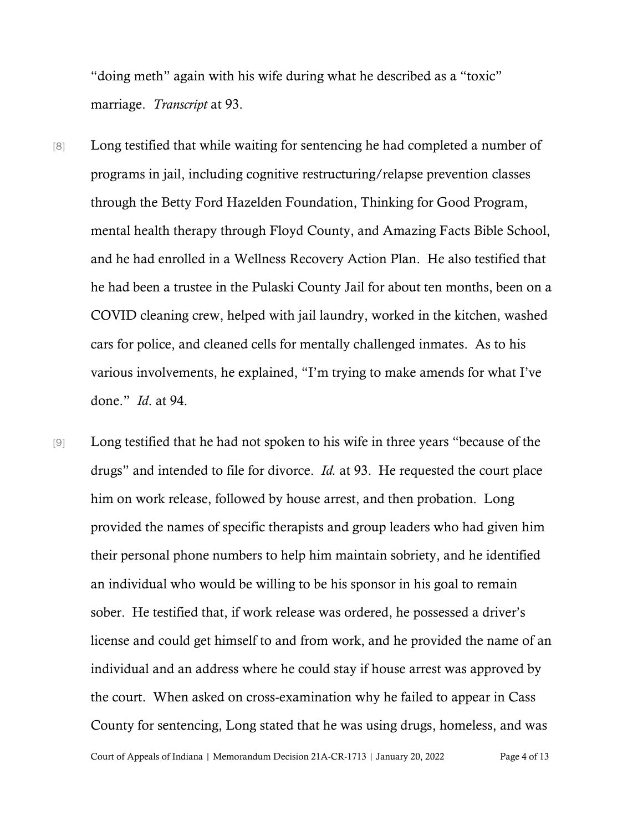"doing meth" again with his wife during what he described as a "toxic" marriage. *Transcript* at 93.

- [8] Long testified that while waiting for sentencing he had completed a number of programs in jail, including cognitive restructuring/relapse prevention classes through the Betty Ford Hazelden Foundation, Thinking for Good Program, mental health therapy through Floyd County, and Amazing Facts Bible School, and he had enrolled in a Wellness Recovery Action Plan. He also testified that he had been a trustee in the Pulaski County Jail for about ten months, been on a COVID cleaning crew, helped with jail laundry, worked in the kitchen, washed cars for police, and cleaned cells for mentally challenged inmates. As to his various involvements, he explained, "I'm trying to make amends for what I've done." *Id*. at 94.
- [9] Long testified that he had not spoken to his wife in three years "because of the drugs" and intended to file for divorce. *Id.* at 93. He requested the court place him on work release, followed by house arrest, and then probation. Long provided the names of specific therapists and group leaders who had given him their personal phone numbers to help him maintain sobriety, and he identified an individual who would be willing to be his sponsor in his goal to remain sober. He testified that, if work release was ordered, he possessed a driver's license and could get himself to and from work, and he provided the name of an individual and an address where he could stay if house arrest was approved by the court. When asked on cross-examination why he failed to appear in Cass County for sentencing, Long stated that he was using drugs, homeless, and was

Court of Appeals of Indiana | Memorandum Decision 21A-CR-1713 | January 20, 2022 Page 4 of 13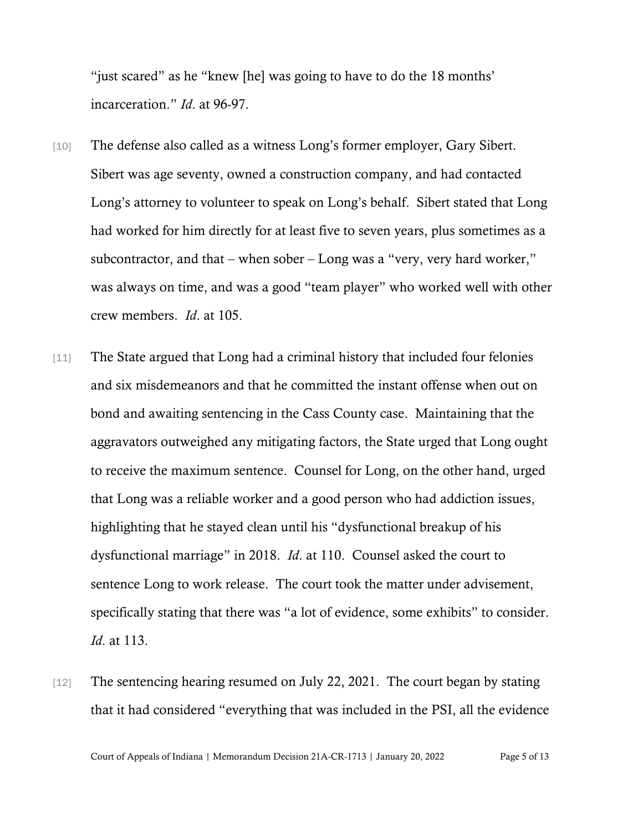"just scared" as he "knew [he] was going to have to do the 18 months' incarceration." *Id*. at 96-97.

- [10] The defense also called as a witness Long's former employer, Gary Sibert. Sibert was age seventy, owned a construction company, and had contacted Long's attorney to volunteer to speak on Long's behalf. Sibert stated that Long had worked for him directly for at least five to seven years, plus sometimes as a subcontractor, and that – when sober – Long was a "very, very hard worker," was always on time, and was a good "team player" who worked well with other crew members. *Id*. at 105.
- [11] The State argued that Long had a criminal history that included four felonies and six misdemeanors and that he committed the instant offense when out on bond and awaiting sentencing in the Cass County case. Maintaining that the aggravators outweighed any mitigating factors, the State urged that Long ought to receive the maximum sentence. Counsel for Long, on the other hand, urged that Long was a reliable worker and a good person who had addiction issues, highlighting that he stayed clean until his "dysfunctional breakup of his dysfunctional marriage" in 2018. *Id*. at 110. Counsel asked the court to sentence Long to work release. The court took the matter under advisement, specifically stating that there was "a lot of evidence, some exhibits" to consider. *Id*. at 113.
- [12] The sentencing hearing resumed on July 22, 2021. The court began by stating that it had considered "everything that was included in the PSI, all the evidence

Court of Appeals of Indiana | Memorandum Decision 21A-CR-1713 | January 20, 2022 Page 5 of 13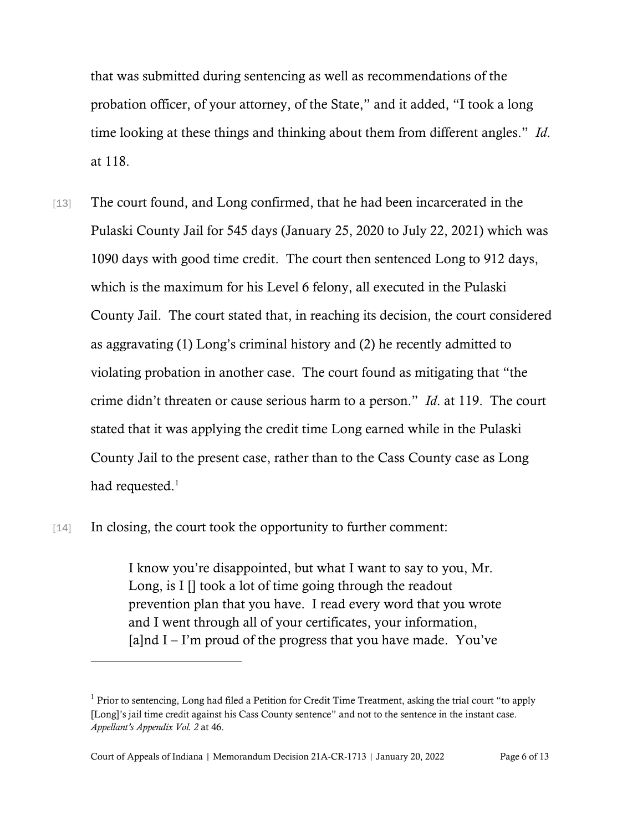that was submitted during sentencing as well as recommendations of the probation officer, of your attorney, of the State," and it added, "I took a long time looking at these things and thinking about them from different angles." *Id*. at 118.

[13] The court found, and Long confirmed, that he had been incarcerated in the Pulaski County Jail for 545 days (January 25, 2020 to July 22, 2021) which was 1090 days with good time credit. The court then sentenced Long to 912 days, which is the maximum for his Level 6 felony, all executed in the Pulaski County Jail. The court stated that, in reaching its decision, the court considered as aggravating (1) Long's criminal history and (2) he recently admitted to violating probation in another case. The court found as mitigating that "the crime didn't threaten or cause serious harm to a person." *Id*. at 119. The court stated that it was applying the credit time Long earned while in the Pulaski County Jail to the present case, rather than to the Cass County case as Long had requested. $^1$  $^1$ 

#### [14] In closing, the court took the opportunity to further comment:

I know you're disappointed, but what I want to say to you, Mr. Long, is  $I \parallel$  took a lot of time going through the readout prevention plan that you have. I read every word that you wrote and I went through all of your certificates, your information,  $[a]$ nd I – I'm proud of the progress that you have made. You've

<span id="page-5-0"></span> $<sup>1</sup>$  Prior to sentencing, Long had filed a Petition for Credit Time Treatment, asking the trial court "to apply</sup> [Long]'s jail time credit against his Cass County sentence" and not to the sentence in the instant case. *Appellant's Appendix Vol. 2* at 46.

Court of Appeals of Indiana | Memorandum Decision 21A-CR-1713 | January 20, 2022 Page 6 of 13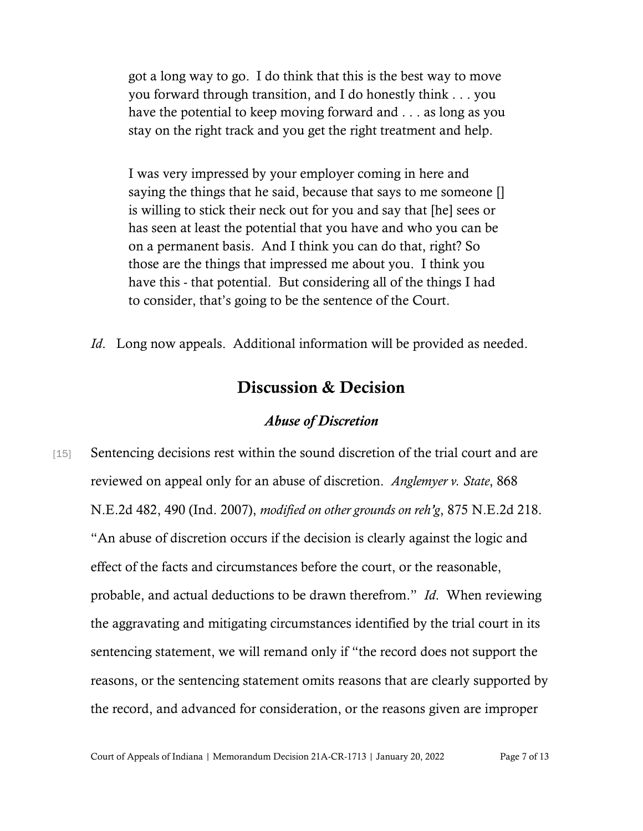got a long way to go. I do think that this is the best way to move you forward through transition, and I do honestly think . . . you have the potential to keep moving forward and . . . as long as you stay on the right track and you get the right treatment and help.

I was very impressed by your employer coming in here and saying the things that he said, because that says to me someone [] is willing to stick their neck out for you and say that [he] sees or has seen at least the potential that you have and who you can be on a permanent basis. And I think you can do that, right? So those are the things that impressed me about you. I think you have this - that potential. But considering all of the things I had to consider, that's going to be the sentence of the Court.

*Id.* Long now appeals. Additional information will be provided as needed.

## Discussion & Decision

### *Abuse of Discretion*

[15] Sentencing decisions rest within the sound discretion of the trial court and are reviewed on appeal only for an abuse of discretion. *Anglemyer v. State*, 868 N.E.2d 482, 490 (Ind. 2007), *modified on other grounds on reh'g*, 875 N.E.2d 218. "An abuse of discretion occurs if the decision is clearly against the logic and effect of the facts and circumstances before the court, or the reasonable, probable, and actual deductions to be drawn therefrom." *Id*. When reviewing the aggravating and mitigating circumstances identified by the trial court in its sentencing statement, we will remand only if "the record does not support the reasons, or the sentencing statement omits reasons that are clearly supported by the record, and advanced for consideration, or the reasons given are improper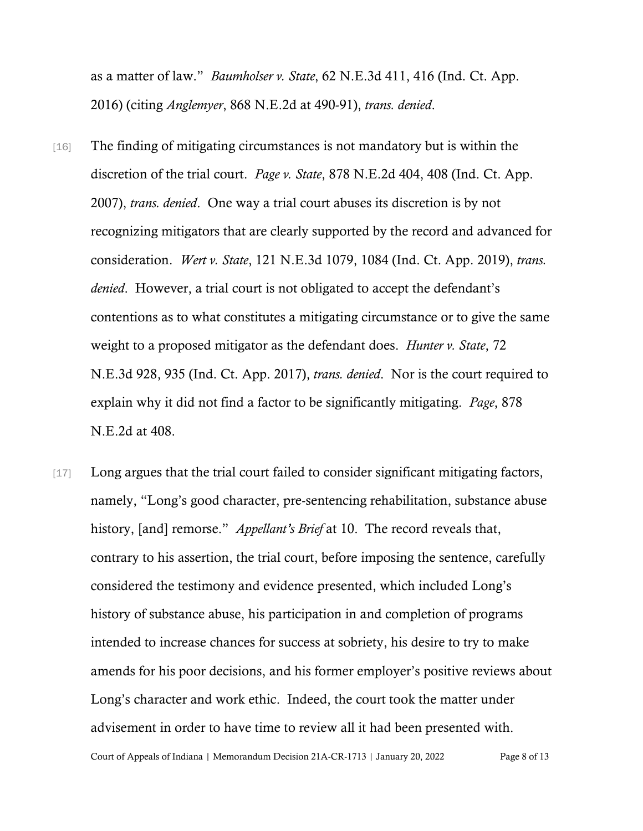as a matter of law." *Baumholser v. State*, 62 N.E.3d 411, 416 (Ind. Ct. App. 2016) (citing *Anglemyer*, 868 N.E.2d at 490-91), *trans. denied*.

- [16] The finding of mitigating circumstances is not mandatory but is within the discretion of the trial court. *Page v. State*, 878 N.E.2d 404, 408 (Ind. Ct. App. 2007), *trans. denied*. One way a trial court abuses its discretion is by not recognizing mitigators that are clearly supported by the record and advanced for consideration. *Wert v. State*, 121 N.E.3d 1079, 1084 (Ind. Ct. App. 2019), *trans. denied*. However, a trial court is not obligated to accept the defendant's contentions as to what constitutes a mitigating circumstance or to give the same weight to a proposed mitigator as the defendant does. *Hunter v. State*, 72 N.E.3d 928, 935 (Ind. Ct. App. 2017), *trans. denied*. Nor is the court required to explain why it did not find a factor to be significantly mitigating. *Page*, 878 N.E.2d at 408.
- [17] Long argues that the trial court failed to consider significant mitigating factors, namely, "Long's good character, pre-sentencing rehabilitation, substance abuse history, [and] remorse." *Appellant's Brief* at 10. The record reveals that, contrary to his assertion, the trial court, before imposing the sentence, carefully considered the testimony and evidence presented, which included Long's history of substance abuse, his participation in and completion of programs intended to increase chances for success at sobriety, his desire to try to make amends for his poor decisions, and his former employer's positive reviews about Long's character and work ethic. Indeed, the court took the matter under advisement in order to have time to review all it had been presented with.

Court of Appeals of Indiana | Memorandum Decision 21A-CR-1713 | January 20, 2022 Page 8 of 13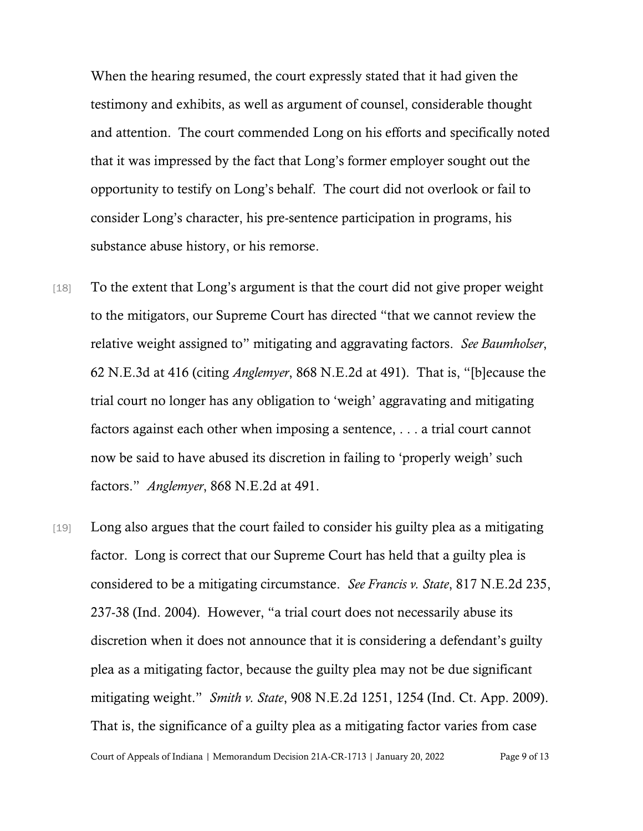When the hearing resumed, the court expressly stated that it had given the testimony and exhibits, as well as argument of counsel, considerable thought and attention. The court commended Long on his efforts and specifically noted that it was impressed by the fact that Long's former employer sought out the opportunity to testify on Long's behalf. The court did not overlook or fail to consider Long's character, his pre-sentence participation in programs, his substance abuse history, or his remorse.

- [18] To the extent that Long's argument is that the court did not give proper weight to the mitigators, our Supreme Court has directed "that we cannot review the relative weight assigned to" mitigating and aggravating factors. *See Baumholser*, 62 N.E.3d at 416 (citing *Anglemyer*, 868 N.E.2d at 491). That is, "[b]ecause the trial court no longer has any obligation to 'weigh' aggravating and mitigating factors against each other when imposing a sentence, . . . a trial court cannot now be said to have abused its discretion in failing to 'properly weigh' such factors." *Anglemyer*, 868 N.E.2d at 491.
- Court of Appeals of Indiana | Memorandum Decision 21A-CR-1713 | January 20, 2022 Page 9 of 13 [19] Long also argues that the court failed to consider his guilty plea as a mitigating factor. Long is correct that our Supreme Court has held that a guilty plea is considered to be a mitigating circumstance. *See Francis v. State*, 817 N.E.2d 235, 237-38 (Ind. 2004). However, "a trial court does not necessarily abuse its discretion when it does not announce that it is considering a defendant's guilty plea as a mitigating factor, because the guilty plea may not be due significant mitigating weight." *Smith v. State*, 908 N.E.2d 1251, 1254 (Ind. Ct. App. 2009). That is, the significance of a guilty plea as a mitigating factor varies from case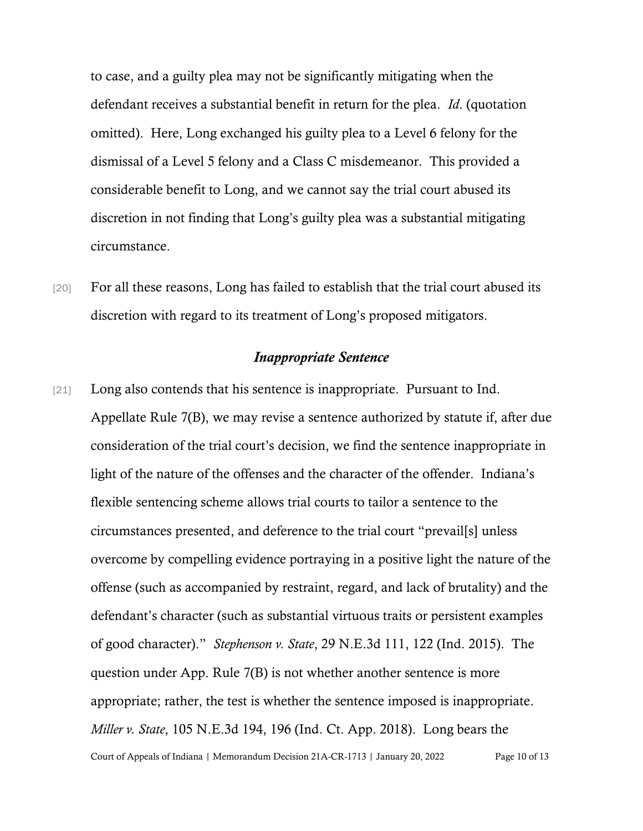to case, and a guilty plea may not be significantly mitigating when the defendant receives a substantial benefit in return for the plea. *Id*. (quotation omitted). Here, Long exchanged his guilty plea to a Level 6 felony for the dismissal of a Level 5 felony and a Class C misdemeanor. This provided a considerable benefit to Long, and we cannot say the trial court abused its discretion in not finding that Long's guilty plea was a substantial mitigating circumstance.

[20] For all these reasons, Long has failed to establish that the trial court abused its discretion with regard to its treatment of Long's proposed mitigators.

#### *Inappropriate Sentence*

Court of Appeals of Indiana | Memorandum Decision 21A-CR-1713 | January 20, 2022 Page 10 of 13 [21] Long also contends that his sentence is inappropriate. Pursuant to Ind. Appellate Rule 7(B), we may revise a sentence authorized by statute if, after due consideration of the trial court's decision, we find the sentence inappropriate in light of the nature of the offenses and the character of the offender. Indiana's flexible sentencing scheme allows trial courts to tailor a sentence to the circumstances presented, and deference to the trial court "prevail[s] unless overcome by compelling evidence portraying in a positive light the nature of the offense (such as accompanied by restraint, regard, and lack of brutality) and the defendant's character (such as substantial virtuous traits or persistent examples of good character)." *Stephenson v. State*, 29 N.E.3d 111, 122 (Ind. 2015). The question under App. Rule 7(B) is not whether another sentence is more appropriate; rather, the test is whether the sentence imposed is inappropriate. *Miller v. State*, 105 N.E.3d 194, 196 (Ind. Ct. App. 2018). Long bears the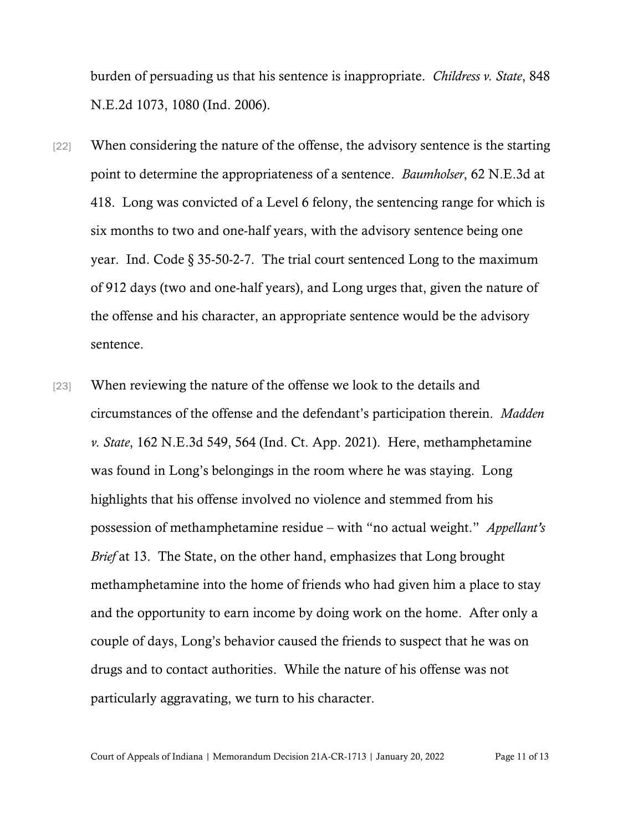burden of persuading us that his sentence is inappropriate. *Childress v. State*, 848 N.E.2d 1073, 1080 (Ind. 2006).

- [22] When considering the nature of the offense, the advisory sentence is the starting point to determine the appropriateness of a sentence. *Baumholser*, 62 N.E.3d at 418. Long was convicted of a Level 6 felony, the sentencing range for which is six months to two and one-half years, with the advisory sentence being one year. Ind. Code § 35-50-2-7. The trial court sentenced Long to the maximum of 912 days (two and one-half years), and Long urges that, given the nature of the offense and his character, an appropriate sentence would be the advisory sentence.
- [23] When reviewing the nature of the offense we look to the details and circumstances of the offense and the defendant's participation therein. *Madden v. State*, 162 N.E.3d 549, 564 (Ind. Ct. App. 2021). Here, methamphetamine was found in Long's belongings in the room where he was staying. Long highlights that his offense involved no violence and stemmed from his possession of methamphetamine residue – with "no actual weight." *Appellant's Brief* at 13. The State, on the other hand, emphasizes that Long brought methamphetamine into the home of friends who had given him a place to stay and the opportunity to earn income by doing work on the home. After only a couple of days, Long's behavior caused the friends to suspect that he was on drugs and to contact authorities. While the nature of his offense was not particularly aggravating, we turn to his character.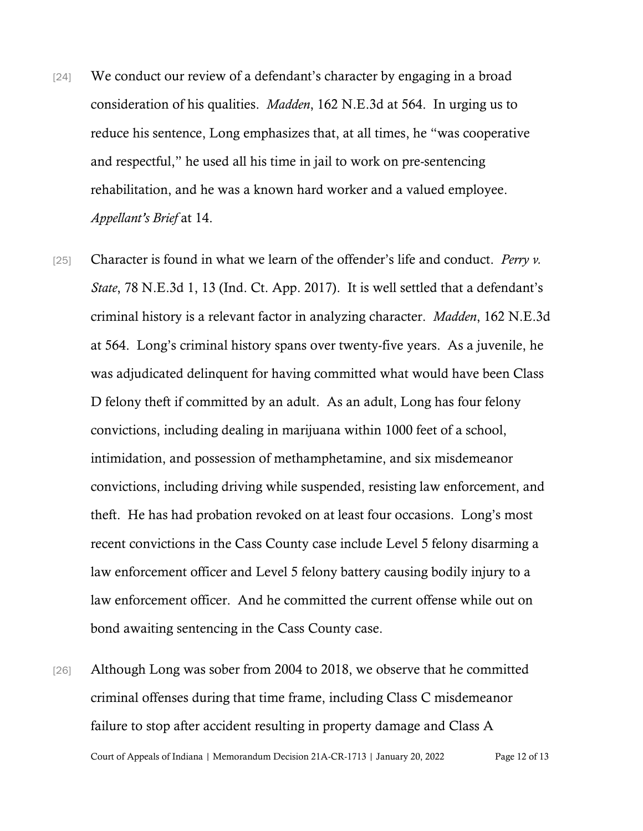- [24] We conduct our review of a defendant's character by engaging in a broad consideration of his qualities. *Madden*, 162 N.E.3d at 564. In urging us to reduce his sentence, Long emphasizes that, at all times, he "was cooperative and respectful," he used all his time in jail to work on pre-sentencing rehabilitation, and he was a known hard worker and a valued employee. *Appellant's Brief* at 14.
- [25] Character is found in what we learn of the offender's life and conduct. *Perry v. State*, 78 N.E.3d 1, 13 (Ind. Ct. App. 2017). It is well settled that a defendant's criminal history is a relevant factor in analyzing character. *Madden*, 162 N.E.3d at 564. Long's criminal history spans over twenty-five years. As a juvenile, he was adjudicated delinquent for having committed what would have been Class D felony theft if committed by an adult. As an adult, Long has four felony convictions, including dealing in marijuana within 1000 feet of a school, intimidation, and possession of methamphetamine, and six misdemeanor convictions, including driving while suspended, resisting law enforcement, and theft. He has had probation revoked on at least four occasions. Long's most recent convictions in the Cass County case include Level 5 felony disarming a law enforcement officer and Level 5 felony battery causing bodily injury to a law enforcement officer. And he committed the current offense while out on bond awaiting sentencing in the Cass County case.
- Court of Appeals of Indiana | Memorandum Decision 21A-CR-1713 | January 20, 2022 Page 12 of 13 [26] Although Long was sober from 2004 to 2018, we observe that he committed criminal offenses during that time frame, including Class C misdemeanor failure to stop after accident resulting in property damage and Class A